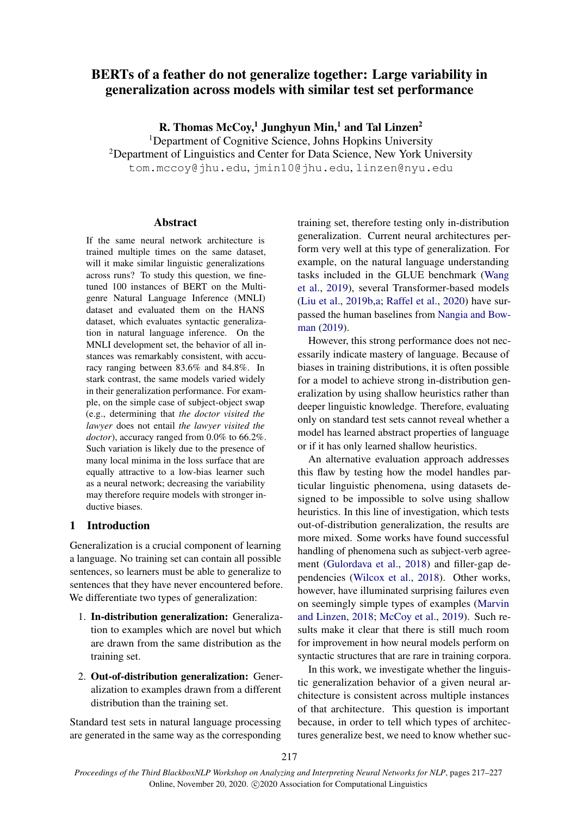# BERTs of a feather do not generalize together: Large variability in generalization across models with similar test set performance

R. Thomas  $McCoy<sup>1</sup>$  Junghyun Min,<sup>1</sup> and Tal Linzen<sup>2</sup>

<sup>1</sup>Department of Cognitive Science, Johns Hopkins University <sup>2</sup>Department of Linguistics and Center for Data Science, New York University

tom.mccoy@jhu.edu, jmin10@jhu.edu, linzen@nyu.edu

## Abstract

If the same neural network architecture is trained multiple times on the same dataset, will it make similar linguistic generalizations across runs? To study this question, we finetuned 100 instances of BERT on the Multigenre Natural Language Inference (MNLI) dataset and evaluated them on the HANS dataset, which evaluates syntactic generalization in natural language inference. On the MNLI development set, the behavior of all instances was remarkably consistent, with accuracy ranging between 83.6% and 84.8%. In stark contrast, the same models varied widely in their generalization performance. For example, on the simple case of subject-object swap (e.g., determining that *the doctor visited the lawyer* does not entail *the lawyer visited the doctor*), accuracy ranged from 0.0% to 66.2%. Such variation is likely due to the presence of many local minima in the loss surface that are equally attractive to a low-bias learner such as a neural network; decreasing the variability may therefore require models with stronger inductive biases.

# 1 Introduction

Generalization is a crucial component of learning a language. No training set can contain all possible sentences, so learners must be able to generalize to sentences that they have never encountered before. We differentiate two types of generalization:

- 1. In-distribution generalization: Generalization to examples which are novel but which are drawn from the same distribution as the training set.
- 2. Out-of-distribution generalization: Generalization to examples drawn from a different distribution than the training set.

Standard test sets in natural language processing are generated in the same way as the corresponding training set, therefore testing only in-distribution generalization. Current neural architectures perform very well at this type of generalization. For example, on the natural language understanding tasks included in the GLUE benchmark [\(Wang](#page-10-0) [et al.,](#page-10-0) [2019\)](#page-10-0), several Transformer-based models [\(Liu et al.,](#page-9-0) [2019b,](#page-9-0)[a;](#page-9-1) [Raffel et al.,](#page-9-2) [2020\)](#page-9-2) have surpassed the human baselines from [Nangia and Bow](#page-9-3)[man](#page-9-3) [\(2019\)](#page-9-3).

However, this strong performance does not necessarily indicate mastery of language. Because of biases in training distributions, it is often possible for a model to achieve strong in-distribution generalization by using shallow heuristics rather than deeper linguistic knowledge. Therefore, evaluating only on standard test sets cannot reveal whether a model has learned abstract properties of language or if it has only learned shallow heuristics.

An alternative evaluation approach addresses this flaw by testing how the model handles particular linguistic phenomena, using datasets designed to be impossible to solve using shallow heuristics. In this line of investigation, which tests out-of-distribution generalization, the results are more mixed. Some works have found successful handling of phenomena such as subject-verb agreement [\(Gulordava et al.,](#page-9-4) [2018\)](#page-9-4) and filler-gap dependencies [\(Wilcox et al.,](#page-10-1) [2018\)](#page-10-1). Other works, however, have illuminated surprising failures even on seemingly simple types of examples [\(Marvin](#page-9-5) [and Linzen,](#page-9-5) [2018;](#page-9-5) [McCoy et al.,](#page-9-6) [2019\)](#page-9-6). Such results make it clear that there is still much room for improvement in how neural models perform on syntactic structures that are rare in training corpora.

In this work, we investigate whether the linguistic generalization behavior of a given neural architecture is consistent across multiple instances of that architecture. This question is important because, in order to tell which types of architectures generalize best, we need to know whether suc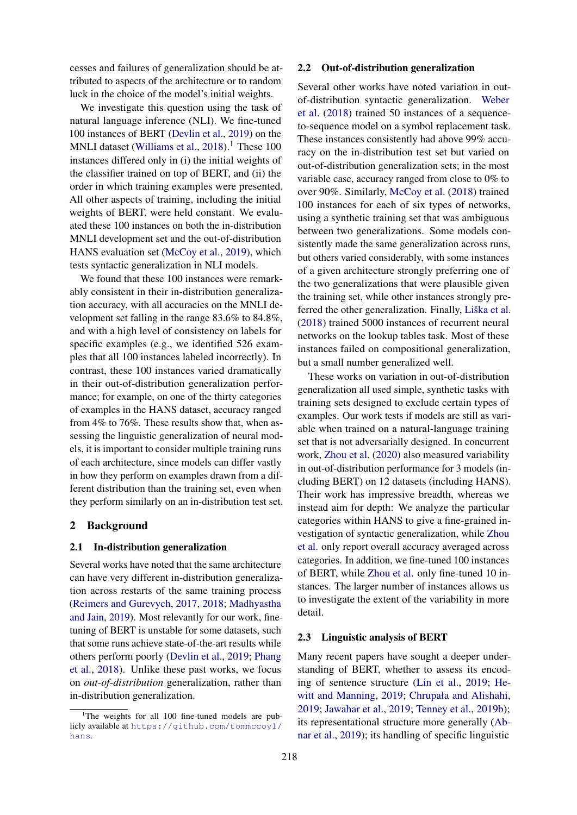cesses and failures of generalization should be attributed to aspects of the architecture or to random luck in the choice of the model's initial weights.

We investigate this question using the task of natural language inference (NLI). We fine-tuned 100 instances of BERT [\(Devlin et al.,](#page-8-0) [2019\)](#page-8-0) on the MNLI dataset [\(Williams et al.,](#page-10-2)  $2018$  $2018$  $2018$ ).<sup>1</sup> These 100 instances differed only in (i) the initial weights of the classifier trained on top of BERT, and (ii) the order in which training examples were presented. All other aspects of training, including the initial weights of BERT, were held constant. We evaluated these 100 instances on both the in-distribution MNLI development set and the out-of-distribution HANS evaluation set [\(McCoy et al.,](#page-9-6) [2019\)](#page-9-6), which tests syntactic generalization in NLI models.

We found that these 100 instances were remarkably consistent in their in-distribution generalization accuracy, with all accuracies on the MNLI development set falling in the range 83.6% to 84.8%, and with a high level of consistency on labels for specific examples (e.g., we identified 526 examples that all 100 instances labeled incorrectly). In contrast, these 100 instances varied dramatically in their out-of-distribution generalization performance; for example, on one of the thirty categories of examples in the HANS dataset, accuracy ranged from 4% to 76%. These results show that, when assessing the linguistic generalization of neural models, it is important to consider multiple training runs of each architecture, since models can differ vastly in how they perform on examples drawn from a different distribution than the training set, even when they perform similarly on an in-distribution test set.

## 2 Background

## 2.1 In-distribution generalization

Several works have noted that the same architecture can have very different in-distribution generalization across restarts of the same training process [\(Reimers and Gurevych,](#page-9-7) [2017,](#page-9-7) [2018;](#page-9-8) [Madhyastha](#page-9-9) [and Jain,](#page-9-9) [2019\)](#page-9-9). Most relevantly for our work, finetuning of BERT is unstable for some datasets, such that some runs achieve state-of-the-art results while others perform poorly [\(Devlin et al.,](#page-8-0) [2019;](#page-8-0) [Phang](#page-9-10) [et al.,](#page-9-10) [2018\)](#page-9-10). Unlike these past works, we focus on *out-of-distribution* generalization, rather than in-distribution generalization.

#### 2.2 Out-of-distribution generalization

Several other works have noted variation in outof-distribution syntactic generalization. [Weber](#page-10-3) [et al.](#page-10-3) [\(2018\)](#page-10-3) trained 50 instances of a sequenceto-sequence model on a symbol replacement task. These instances consistently had above 99% accuracy on the in-distribution test set but varied on out-of-distribution generalization sets; in the most variable case, accuracy ranged from close to 0% to over 90%. Similarly, [McCoy et al.](#page-9-11) [\(2018\)](#page-9-11) trained 100 instances for each of six types of networks, using a synthetic training set that was ambiguous between two generalizations. Some models consistently made the same generalization across runs, but others varied considerably, with some instances of a given architecture strongly preferring one of the two generalizations that were plausible given the training set, while other instances strongly preferred the other generalization. Finally, Liška et al. [\(2018\)](#page-9-12) trained 5000 instances of recurrent neural networks on the lookup tables task. Most of these instances failed on compositional generalization, but a small number generalized well.

These works on variation in out-of-distribution generalization all used simple, synthetic tasks with training sets designed to exclude certain types of examples. Our work tests if models are still as variable when trained on a natural-language training set that is not adversarially designed. In concurrent work, [Zhou et al.](#page-10-4) [\(2020\)](#page-10-4) also measured variability in out-of-distribution performance for 3 models (including BERT) on 12 datasets (including HANS). Their work has impressive breadth, whereas we instead aim for depth: We analyze the particular categories within HANS to give a fine-grained investigation of syntactic generalization, while [Zhou](#page-10-4) [et al.](#page-10-4) only report overall accuracy averaged across categories. In addition, we fine-tuned 100 instances of BERT, while [Zhou et al.](#page-10-4) only fine-tuned 10 instances. The larger number of instances allows us to investigate the extent of the variability in more detail.

#### 2.3 Linguistic analysis of BERT

Many recent papers have sought a deeper understanding of BERT, whether to assess its encoding of sentence structure [\(Lin et al.,](#page-9-13) [2019;](#page-9-13) [He](#page-9-14)[witt and Manning,](#page-9-14) [2019;](#page-9-14) [Chrupała and Alishahi,](#page-8-1) [2019;](#page-8-1) [Jawahar et al.,](#page-9-15) [2019;](#page-9-15) [Tenney et al.,](#page-10-5) [2019b\)](#page-10-5); its representational structure more generally [\(Ab](#page-8-2)[nar et al.,](#page-8-2) [2019\)](#page-8-2); its handling of specific linguistic

<span id="page-1-0"></span><sup>&</sup>lt;sup>1</sup>The weights for all  $100$  fine-tuned models are publicly available at [https://github.com/tommccoy1/](https://github.com/tommccoy1/hans) [hans](https://github.com/tommccoy1/hans).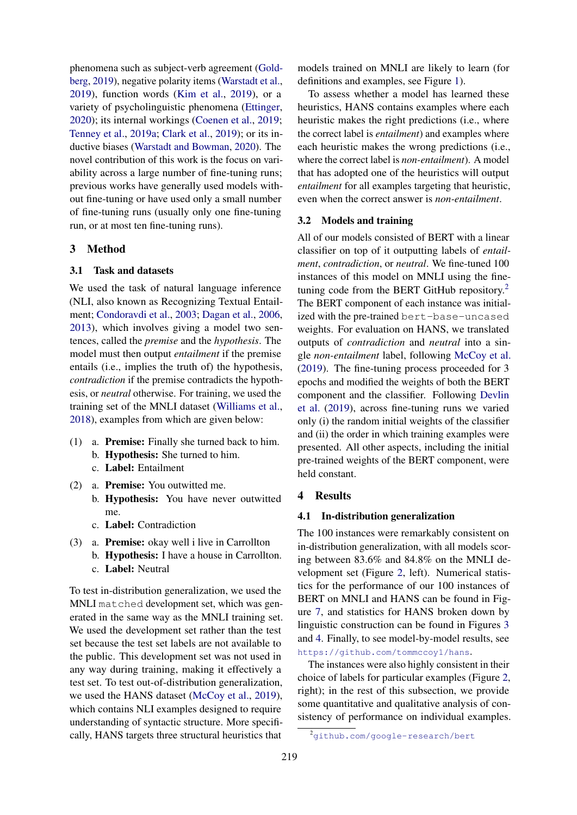phenomena such as subject-verb agreement [\(Gold](#page-9-16)[berg,](#page-9-16) [2019\)](#page-9-16), negative polarity items [\(Warstadt et al.,](#page-10-6) [2019\)](#page-10-6), function words [\(Kim et al.,](#page-9-17) [2019\)](#page-9-17), or a variety of psycholinguistic phenomena [\(Ettinger,](#page-8-3) [2020\)](#page-8-3); its internal workings [\(Coenen et al.,](#page-8-4) [2019;](#page-8-4) [Tenney et al.,](#page-10-7) [2019a;](#page-10-7) [Clark et al.,](#page-8-5) [2019\)](#page-8-5); or its inductive biases [\(Warstadt and Bowman,](#page-10-8) [2020\)](#page-10-8). The novel contribution of this work is the focus on variability across a large number of fine-tuning runs; previous works have generally used models without fine-tuning or have used only a small number of fine-tuning runs (usually only one fine-tuning run, or at most ten fine-tuning runs).

## 3 Method

## 3.1 Task and datasets

We used the task of natural language inference (NLI, also known as Recognizing Textual Entailment; [Condoravdi et al.,](#page-8-6) [2003;](#page-8-6) [Dagan et al.,](#page-8-7) [2006,](#page-8-7) [2013\)](#page-8-8), which involves giving a model two sentences, called the *premise* and the *hypothesis*. The model must then output *entailment* if the premise entails (i.e., implies the truth of) the hypothesis, *contradiction* if the premise contradicts the hypothesis, or *neutral* otherwise. For training, we used the training set of the MNLI dataset [\(Williams et al.,](#page-10-2) [2018\)](#page-10-2), examples from which are given below:

- (1) a. Premise: Finally she turned back to him. b. Hypothesis: She turned to him. c. Label: Entailment
- (2) a. Premise: You outwitted me. b. Hypothesis: You have never outwitted me.
	- c. Label: Contradiction
- (3) a. Premise: okay well i live in Carrollton b. Hypothesis: I have a house in Carrollton.
	- c. Label: Neutral

To test in-distribution generalization, we used the MNLI matched development set, which was generated in the same way as the MNLI training set. We used the development set rather than the test set because the test set labels are not available to the public. This development set was not used in any way during training, making it effectively a test set. To test out-of-distribution generalization, we used the HANS dataset [\(McCoy et al.,](#page-9-6) [2019\)](#page-9-6), which contains NLI examples designed to require understanding of syntactic structure. More specifically, HANS targets three structural heuristics that

models trained on MNLI are likely to learn (for definitions and examples, see Figure [1\)](#page-3-0).

To assess whether a model has learned these heuristics, HANS contains examples where each heuristic makes the right predictions (i.e., where the correct label is *entailment*) and examples where each heuristic makes the wrong predictions (i.e., where the correct label is *non-entailment*). A model that has adopted one of the heuristics will output *entailment* for all examples targeting that heuristic, even when the correct answer is *non-entailment*.

### 3.2 Models and training

All of our models consisted of BERT with a linear classifier on top of it outputting labels of *entailment*, *contradiction*, or *neutral*. We fine-tuned 100 instances of this model on MNLI using the fine-tuning code from the BERT GitHub repository.<sup>[2](#page-2-0)</sup> The BERT component of each instance was initialized with the pre-trained bert-base-uncased weights. For evaluation on HANS, we translated outputs of *contradiction* and *neutral* into a single *non-entailment* label, following [McCoy et al.](#page-9-6) [\(2019\)](#page-9-6). The fine-tuning process proceeded for 3 epochs and modified the weights of both the BERT component and the classifier. Following [Devlin](#page-8-0) [et al.](#page-8-0) [\(2019\)](#page-8-0), across fine-tuning runs we varied only (i) the random initial weights of the classifier and (ii) the order in which training examples were presented. All other aspects, including the initial pre-trained weights of the BERT component, were held constant.

### 4 Results

### 4.1 In-distribution generalization

The 100 instances were remarkably consistent on in-distribution generalization, with all models scoring between 83.6% and 84.8% on the MNLI development set (Figure [2,](#page-3-1) left). Numerical statistics for the performance of our 100 instances of BERT on MNLI and HANS can be found in Figure [7,](#page-8-9) and statistics for HANS broken down by linguistic construction can be found in Figures [3](#page-5-0) and [4.](#page-6-0) Finally, to see model-by-model results, see <https://github.com/tommccoy1/hans>.

The instances were also highly consistent in their choice of labels for particular examples (Figure [2,](#page-3-1) right); in the rest of this subsection, we provide some quantitative and qualitative analysis of consistency of performance on individual examples.

<span id="page-2-0"></span><sup>2</sup><github.com/google-research/bert>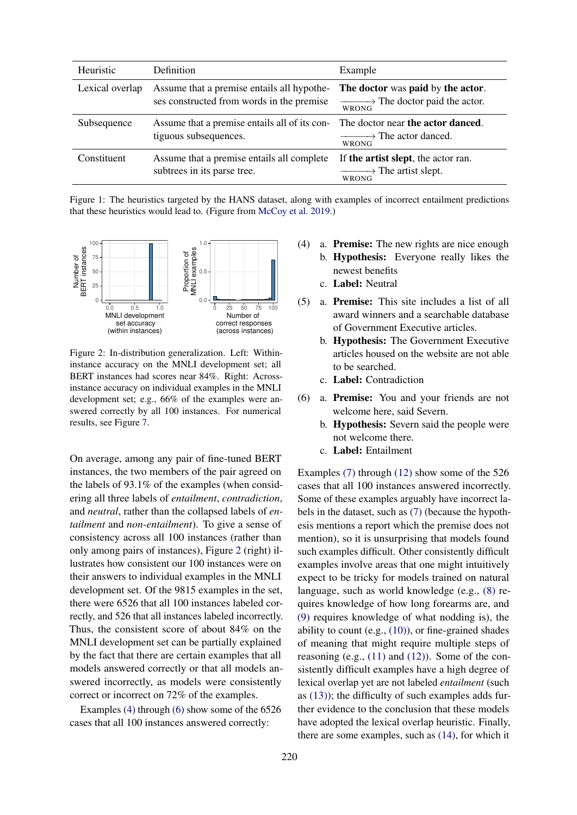<span id="page-3-0"></span>

| Heuristic       | Definition                                                                              | Example                                                                                           |
|-----------------|-----------------------------------------------------------------------------------------|---------------------------------------------------------------------------------------------------|
| Lexical overlap | Assume that a premise entails all hypothe-<br>ses constructed from words in the premise | The doctor was paid by the actor.<br>$\longrightarrow$ The doctor paid the actor.<br><b>WRONG</b> |
| Subsequence     | Assume that a premise entails all of its con-<br>tiguous subsequences.                  | The doctor near the actor danced.<br>$\longrightarrow$ The actor danced.<br><b>WRONG</b>          |
| Constituent     | Assume that a premise entails all complete<br>subtrees in its parse tree.               | If the artist slept, the actor ran.<br>$\longrightarrow$ The artist slept.<br><b>WRONG</b>        |

Figure 1: The heuristics targeted by the HANS dataset, along with examples of incorrect entailment predictions that these heuristics would lead to. (Figure from [McCoy et al.](#page-9-6) [2019.](#page-9-6))

<span id="page-3-1"></span>

Figure 2: In-distribution generalization. Left: Withininstance accuracy on the MNLI development set; all BERT instances had scores near 84%. Right: Acrossinstance accuracy on individual examples in the MNLI development set; e.g., 66% of the examples were answered correctly by all 100 instances. For numerical results, see Figure [7.](#page-8-9)

On average, among any pair of fine-tuned BERT instances, the two members of the pair agreed on the labels of 93.1% of the examples (when considering all three labels of *entailment*, *contradiction*, and *neutral*, rather than the collapsed labels of *entailment* and *non-entailment*). To give a sense of consistency across all 100 instances (rather than only among pairs of instances), Figure [2](#page-3-1) (right) illustrates how consistent our 100 instances were on their answers to individual examples in the MNLI development set. Of the 9815 examples in the set, there were 6526 that all 100 instances labeled correctly, and 526 that all instances labeled incorrectly. Thus, the consistent score of about 84% on the MNLI development set can be partially explained by the fact that there are certain examples that all models answered correctly or that all models answered incorrectly, as models were consistently correct or incorrect on 72% of the examples.

<span id="page-3-2"></span>Examples [\(4\)](#page-3-2) through [\(6\)](#page-3-3) show some of the 6526 cases that all 100 instances answered correctly:

- (4) a. Premise: The new rights are nice enough
	- b. Hypothesis: Everyone really likes the newest benefits
		- c. Label: Neutral
- (5) a. Premise: This site includes a list of all award winners and a searchable database of Government Executive articles.
	- b. Hypothesis: The Government Executive articles housed on the website are not able to be searched.
	- c. Label: Contradiction
- <span id="page-3-3"></span>(6) a. Premise: You and your friends are not welcome here, said Severn.
	- b. Hypothesis: Severn said the people were not welcome there.
	- c. Label: Entailment

Examples [\(7\)](#page-4-0) through [\(12\)](#page-4-1) show some of the 526 cases that all 100 instances answered incorrectly. Some of these examples arguably have incorrect labels in the dataset, such as [\(7\)](#page-4-0) (because the hypothesis mentions a report which the premise does not mention), so it is unsurprising that models found such examples difficult. Other consistently difficult examples involve areas that one might intuitively expect to be tricky for models trained on natural language, such as world knowledge (e.g., [\(8\)](#page-4-2) requires knowledge of how long forearms are, and [\(9\)](#page-4-3) requires knowledge of what nodding is), the ability to count (e.g.,  $(10)$ ), or fine-grained shades of meaning that might require multiple steps of reasoning (e.g.,  $(11)$  and  $(12)$ ). Some of the consistently difficult examples have a high degree of lexical overlap yet are not labeled *entailment* (such as  $(13)$ ; the difficulty of such examples adds further evidence to the conclusion that these models have adopted the lexical overlap heuristic. Finally, there are some examples, such as [\(14\),](#page-4-7) for which it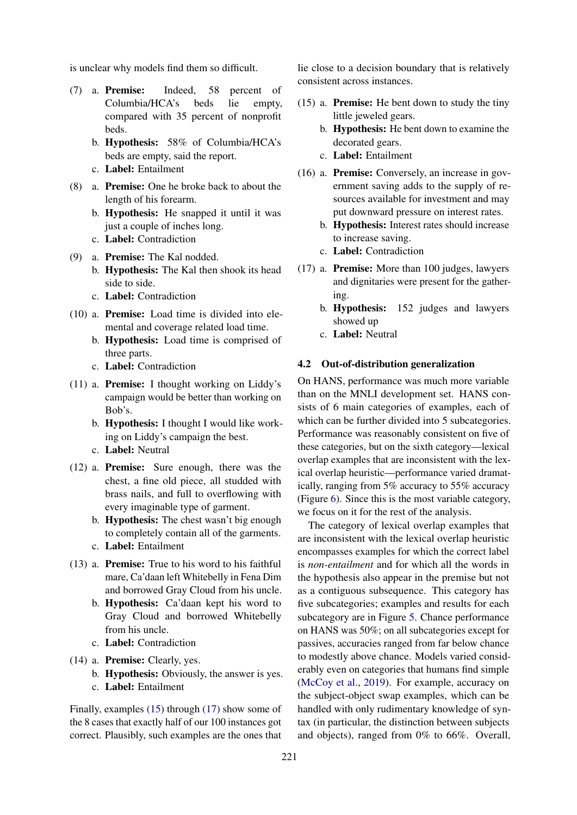<span id="page-4-0"></span>is unclear why models find them so difficult.

- (7) a. Premise: Indeed, 58 percent of Columbia/HCA's beds lie empty, compared with 35 percent of nonprofit beds.
	- b. Hypothesis: 58% of Columbia/HCA's beds are empty, said the report.
	- c. Label: Entailment
- <span id="page-4-2"></span>(8) a. Premise: One he broke back to about the length of his forearm.
	- b. Hypothesis: He snapped it until it was just a couple of inches long.
	- c. Label: Contradiction
- <span id="page-4-3"></span>(9) a. Premise: The Kal nodded. b. Hypothesis: The Kal then shook its head side to side.
	- c. Label: Contradiction
- <span id="page-4-4"></span>(10) a. Premise: Load time is divided into elemental and coverage related load time.
	- b. Hypothesis: Load time is comprised of three parts.
	- c. Label: Contradiction
- <span id="page-4-5"></span>(11) a. Premise: I thought working on Liddy's campaign would be better than working on Bob's.
	- b. Hypothesis: I thought I would like working on Liddy's campaign the best.
	- c. Label: Neutral
- <span id="page-4-1"></span>(12) a. Premise: Sure enough, there was the chest, a fine old piece, all studded with brass nails, and full to overflowing with every imaginable type of garment.
	- b. Hypothesis: The chest wasn't big enough to completely contain all of the garments.
	- c. Label: Entailment
- <span id="page-4-6"></span>(13) a. Premise: True to his word to his faithful mare, Ca'daan left Whitebelly in Fena Dim and borrowed Gray Cloud from his uncle.
	- b. Hypothesis: Ca'daan kept his word to Gray Cloud and borrowed Whitebelly from his uncle.
	- c. Label: Contradiction
- <span id="page-4-7"></span>(14) a. Premise: Clearly, yes. b. Hypothesis: Obviously, the answer is yes. c. Label: Entailment

Finally, examples [\(15\)](#page-4-8) through [\(17\)](#page-4-9) show some of the 8 cases that exactly half of our 100 instances got correct. Plausibly, such examples are the ones that

lie close to a decision boundary that is relatively consistent across instances.

- <span id="page-4-8"></span>(15) a. Premise: He bent down to study the tiny little jeweled gears.
	- b. Hypothesis: He bent down to examine the decorated gears.
	- c. Label: Entailment
- (16) a. Premise: Conversely, an increase in government saving adds to the supply of resources available for investment and may put downward pressure on interest rates.
	- b. Hypothesis: Interest rates should increase to increase saving.
	- c. Label: Contradiction
- <span id="page-4-9"></span>(17) a. Premise: More than 100 judges, lawyers and dignitaries were present for the gathering.
	- b. Hypothesis: 152 judges and lawyers showed up
	- c. Label: Neutral

#### 4.2 Out-of-distribution generalization

On HANS, performance was much more variable than on the MNLI development set. HANS consists of 6 main categories of examples, each of which can be further divided into 5 subcategories. Performance was reasonably consistent on five of these categories, but on the sixth category—lexical overlap examples that are inconsistent with the lexical overlap heuristic—performance varied dramatically, ranging from 5% accuracy to 55% accuracy (Figure [6\)](#page-7-0). Since this is the most variable category, we focus on it for the rest of the analysis.

The category of lexical overlap examples that are inconsistent with the lexical overlap heuristic encompasses examples for which the correct label is *non-entailment* and for which all the words in the hypothesis also appear in the premise but not as a contiguous subsequence. This category has five subcategories; examples and results for each subcategory are in Figure [5.](#page-7-1) Chance performance on HANS was 50%; on all subcategories except for passives, accuracies ranged from far below chance to modestly above chance. Models varied considerably even on categories that humans find simple [\(McCoy et al.,](#page-9-6) [2019\)](#page-9-6). For example, accuracy on the subject-object swap examples, which can be handled with only rudimentary knowledge of syntax (in particular, the distinction between subjects and objects), ranged from 0% to 66%. Overall,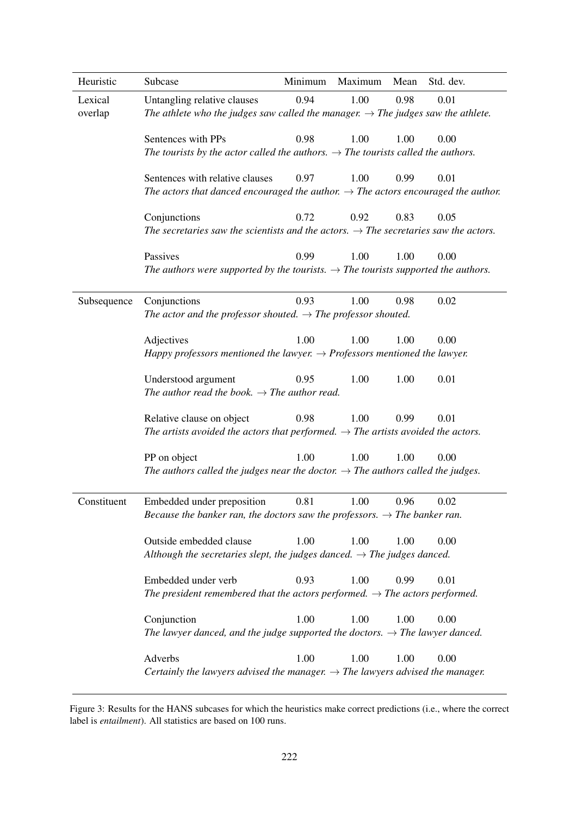<span id="page-5-0"></span>

| Heuristic          | Subcase                                                                                                                                                     | Minimum | Maximum | Mean | Std. dev. |  |  |
|--------------------|-------------------------------------------------------------------------------------------------------------------------------------------------------------|---------|---------|------|-----------|--|--|
| Lexical<br>overlap | 0.98<br>Untangling relative clauses<br>0.94<br>1.00<br>0.01<br>The athlete who the judges saw called the manager. $\rightarrow$ The judges saw the athlete. |         |         |      |           |  |  |
|                    | Sentences with PPs<br>The tourists by the actor called the authors. $\rightarrow$ The tourists called the authors.                                          | 0.98    | 1.00    | 1.00 | 0.00      |  |  |
|                    | Sentences with relative clauses<br>The actors that danced encouraged the author. $\rightarrow$ The actors encouraged the author.                            | 0.97    | 1.00    | 0.99 | 0.01      |  |  |
|                    | Conjunctions<br>The secretaries saw the scientists and the actors. $\rightarrow$ The secretaries saw the actors.                                            | 0.72    | 0.92    | 0.83 | 0.05      |  |  |
|                    | Passives<br>The authors were supported by the tourists. $\rightarrow$ The tourists supported the authors.                                                   | 0.99    | 1.00    | 1.00 | 0.00      |  |  |
| Subsequence        | Conjunctions<br>The actor and the professor shouted. $\rightarrow$ The professor shouted.                                                                   | 0.93    | 1.00    | 0.98 | 0.02      |  |  |
|                    | Adjectives<br>Happy professors mentioned the lawyer. $\rightarrow$ Professors mentioned the lawyer.                                                         | 1.00    | 1.00    | 1.00 | 0.00      |  |  |
|                    | Understood argument<br>The author read the book. $\rightarrow$ The author read.                                                                             | 0.95    | 1.00    | 1.00 | 0.01      |  |  |
|                    | Relative clause on object<br>The artists avoided the actors that performed. $\rightarrow$ The artists avoided the actors.                                   | 0.98    | 1.00    | 0.99 | 0.01      |  |  |
|                    | PP on object<br>The authors called the judges near the doctor. $\rightarrow$ The authors called the judges.                                                 | 1.00    | 1.00    | 1.00 | 0.00      |  |  |
| Constituent        | Embedded under preposition 0.81<br>Because the banker ran, the doctors saw the professors. $\rightarrow$ The banker ran.                                    |         | 1.00    | 0.96 | 0.02      |  |  |
|                    | Outside embedded clause<br>Although the secretaries slept, the judges danced. $\rightarrow$ The judges danced.                                              | 1.00    | 1.00    | 1.00 | 0.00      |  |  |
|                    | Embedded under verb<br>The president remembered that the actors performed. $\rightarrow$ The actors performed.                                              | 0.93    | 1.00    | 0.99 | 0.01      |  |  |
|                    | Conjunction<br>The lawyer danced, and the judge supported the doctors. $\rightarrow$ The lawyer danced.                                                     | 1.00    | 1.00    | 1.00 | 0.00      |  |  |
|                    | Adverbs<br>Certainly the lawyers advised the manager. $\rightarrow$ The lawyers advised the manager.                                                        | 1.00    | 1.00    | 1.00 | 0.00      |  |  |

Figure 3: Results for the HANS subcases for which the heuristics make correct predictions (i.e., where the correct label is *entailment*). All statistics are based on 100 runs.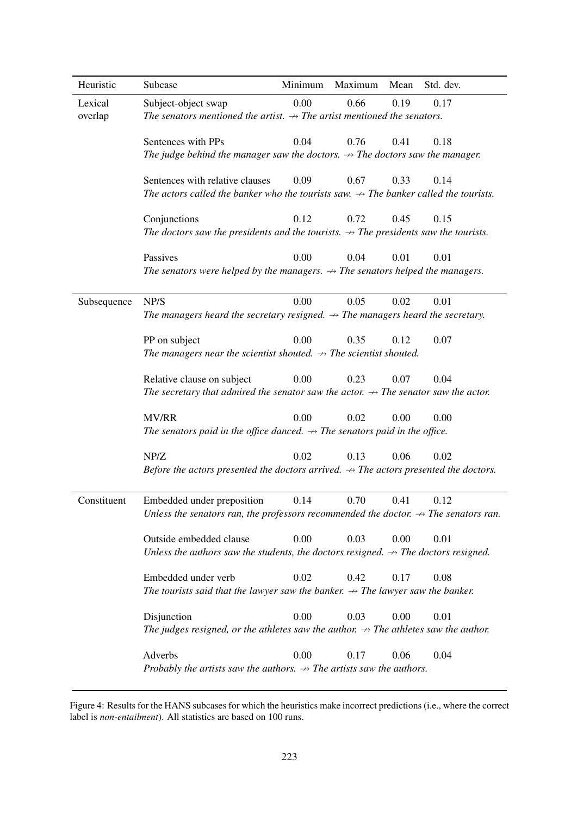<span id="page-6-0"></span>

| Heuristic          | Subcase                                                                                                                                    | Minimum | Maximum | Mean | Std. dev. |  |  |
|--------------------|--------------------------------------------------------------------------------------------------------------------------------------------|---------|---------|------|-----------|--|--|
| Lexical<br>overlap | 0.00<br>0.66<br>0.19<br>0.17<br>Subject-object swap<br>The senators mentioned the artist. $\rightarrow$ The artist mentioned the senators. |         |         |      |           |  |  |
|                    | Sentences with PPs<br>The judge behind the manager saw the doctors. $\rightarrow$ The doctors saw the manager.                             | 0.04    | 0.76    | 0.41 | 0.18      |  |  |
|                    | Sentences with relative clauses<br>The actors called the banker who the tourists saw. $\rightarrow$ The banker called the tourists.        | 0.09    | 0.67    | 0.33 | 0.14      |  |  |
|                    | Conjunctions<br>The doctors saw the presidents and the tourists. $\rightarrow$ The presidents saw the tourists.                            | 0.12    | 0.72    | 0.45 | 0.15      |  |  |
|                    | Passives<br>The senators were helped by the managers. $\rightarrow$ The senators helped the managers.                                      | 0.00    | 0.04    | 0.01 | 0.01      |  |  |
| Subsequence        | NP/S<br>The managers heard the secretary resigned. $\rightarrow$ The managers heard the secretary.                                         | 0.00    | 0.05    | 0.02 | 0.01      |  |  |
|                    | PP on subject<br>The managers near the scientist shouted. $\rightarrow$ The scientist shouted.                                             | 0.00    | 0.35    | 0.12 | 0.07      |  |  |
|                    | Relative clause on subject<br>The secretary that admired the senator saw the actor. $\rightarrow$ The senator saw the actor.               | 0.00    | 0.23    | 0.07 | 0.04      |  |  |
|                    | MV/RR<br>The senators paid in the office danced. $\rightarrow$ The senators paid in the office.                                            | 0.00    | 0.02    | 0.00 | 0.00      |  |  |
|                    | NP/Z<br>Before the actors presented the doctors arrived. $\rightarrow$ The actors presented the doctors.                                   | 0.02    | 0.13    | 0.06 | 0.02      |  |  |
| Constituent        | Embedded under preposition<br>Unless the senators ran, the professors recommended the doctor. $\rightarrow$ The senators ran.              | 0.14    | 0.70    | 0.41 | 0.12      |  |  |
|                    | Outside embedded clause<br>Unless the authors saw the students, the doctors resigned. $\rightarrow$ The doctors resigned.                  | 0.00    | 0.03    | 0.00 | 0.01      |  |  |
|                    | Embedded under verb<br>The tourists said that the lawyer saw the banker. $\rightarrow$ The lawyer saw the banker.                          | 0.02    | 0.42    | 0.17 | 0.08      |  |  |
|                    | Disjunction<br>The judges resigned, or the athletes saw the author. $\rightarrow$ The athletes saw the author.                             | 0.00    | 0.03    | 0.00 | 0.01      |  |  |
|                    | Adverbs<br>Probably the artists saw the authors. $\rightarrow$ The artists saw the authors.                                                | 0.00    | 0.17    | 0.06 | 0.04      |  |  |

Figure 4: Results for the HANS subcases for which the heuristics make incorrect predictions (i.e., where the correct label is *non-entailment*). All statistics are based on 100 runs.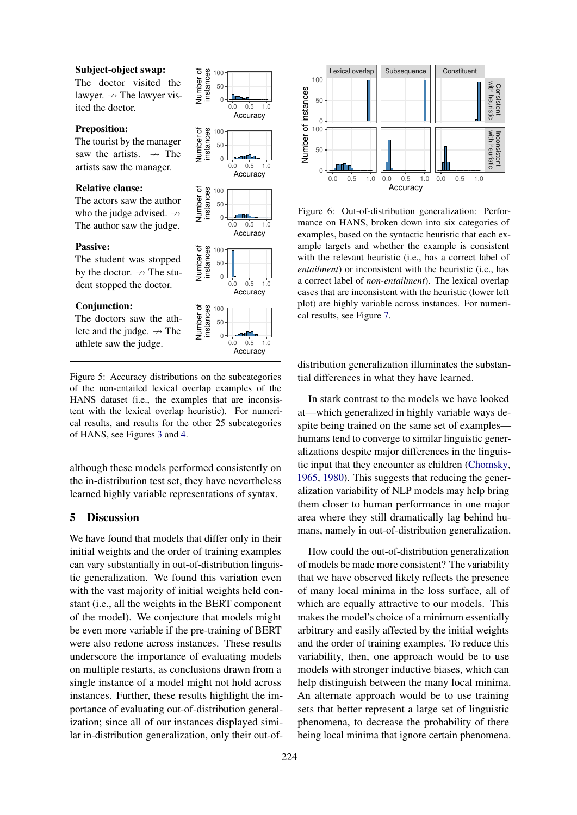#### <span id="page-7-1"></span>Subject-object swap:

The doctor visited the lawyer.  $\rightarrow$  The lawyer visited the doctor.

#### Preposition:

The tourist by the manager saw the artists.  $\rightarrow$  The artists saw the manager.

#### Relative clause:

The actors saw the author who the judge advised.  $\rightarrow$ The author saw the judge.

#### Passive:

The student was stopped by the doctor.  $\rightarrow$  The student stopped the doctor.

#### Conjunction:

The doctors saw the athlete and the judge.  $\rightarrow$  The athlete saw the judge.



Figure 5: Accuracy distributions on the subcategories of the non-entailed lexical overlap examples of the HANS dataset (i.e., the examples that are inconsistent with the lexical overlap heuristic). For numerical results, and results for the other 25 subcategories of HANS, see Figures [3](#page-5-0) and [4.](#page-6-0)

although these models performed consistently on the in-distribution test set, they have nevertheless learned highly variable representations of syntax.

# 5 Discussion

We have found that models that differ only in their initial weights and the order of training examples can vary substantially in out-of-distribution linguistic generalization. We found this variation even with the vast majority of initial weights held constant (i.e., all the weights in the BERT component of the model). We conjecture that models might be even more variable if the pre-training of BERT were also redone across instances. These results underscore the importance of evaluating models on multiple restarts, as conclusions drawn from a single instance of a model might not hold across instances. Further, these results highlight the importance of evaluating out-of-distribution generalization; since all of our instances displayed similar in-distribution generalization, only their out-of-

<span id="page-7-0"></span>

Figure 6: Out-of-distribution generalization: Performance on HANS, broken down into six categories of examples, based on the syntactic heuristic that each example targets and whether the example is consistent with the relevant heuristic (i.e., has a correct label of *entailment*) or inconsistent with the heuristic (i.e., has a correct label of *non-entailment*). The lexical overlap cases that are inconsistent with the heuristic (lower left plot) are highly variable across instances. For numerical results, see Figure [7.](#page-8-9)

distribution generalization illuminates the substantial differences in what they have learned.

In stark contrast to the models we have looked at—which generalized in highly variable ways despite being trained on the same set of examples humans tend to converge to similar linguistic generalizations despite major differences in the linguistic input that they encounter as children [\(Chomsky,](#page-8-10) [1965,](#page-8-10) [1980\)](#page-8-11). This suggests that reducing the generalization variability of NLP models may help bring them closer to human performance in one major area where they still dramatically lag behind humans, namely in out-of-distribution generalization.

How could the out-of-distribution generalization of models be made more consistent? The variability that we have observed likely reflects the presence of many local minima in the loss surface, all of which are equally attractive to our models. This makes the model's choice of a minimum essentially arbitrary and easily affected by the initial weights and the order of training examples. To reduce this variability, then, one approach would be to use models with stronger inductive biases, which can help distinguish between the many local minima. An alternate approach would be to use training sets that better represent a large set of linguistic phenomena, to decrease the probability of there being local minima that ignore certain phenomena.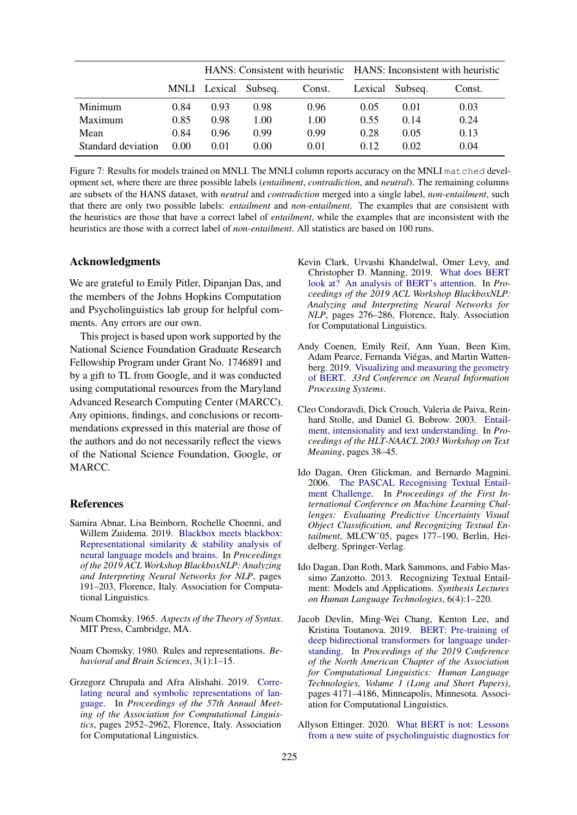<span id="page-8-9"></span>

|                    |      |                      |      | HANS: Consistent with heuristic HANS: Inconsistent with heuristic |      |                 |        |
|--------------------|------|----------------------|------|-------------------------------------------------------------------|------|-----------------|--------|
|                    |      | MNLI Lexical Subseq. |      | Const.                                                            |      | Lexical Subseq. | Const. |
| Minimum            | 0.84 | 0.93                 | 0.98 | 0.96                                                              | 0.05 | 0.01            | 0.03   |
| Maximum            | 0.85 | 0.98                 | 1.00 | 1.00                                                              | 0.55 | 0.14            | 0.24   |
| Mean               | 0.84 | 0.96                 | 0.99 | 0.99                                                              | 0.28 | 0.05            | 0.13   |
| Standard deviation | 0.00 | 0.01                 | 0.00 | 0.01                                                              | 0.12 | 0.02            | 0.04   |

Figure 7: Results for models trained on MNLI. The MNLI column reports accuracy on the MNLI matched development set, where there are three possible labels (*entailment*, *contradiction*, and *neutral*). The remaining columns are subsets of the HANS dataset, with *neutral* and *contradiction* merged into a single label, *non-entailment*, such that there are only two possible labels: *entailment* and *non-entailment*. The examples that are consistent with the heuristics are those that have a correct label of *entailment*, while the examples that are inconsistent with the heuristics are those with a correct label of *non-entailment*. All statistics are based on 100 runs.

# Acknowledgments

We are grateful to Emily Pitler, Dipanjan Das, and the members of the Johns Hopkins Computation and Psycholinguistics lab group for helpful comments. Any errors are our own.

This project is based upon work supported by the National Science Foundation Graduate Research Fellowship Program under Grant No. 1746891 and by a gift to TL from Google, and it was conducted using computational resources from the Maryland Advanced Research Computing Center (MARCC). Any opinions, findings, and conclusions or recommendations expressed in this material are those of the authors and do not necessarily reflect the views of the National Science Foundation, Google, or MARCC.

### References

- <span id="page-8-2"></span>Samira Abnar, Lisa Beinborn, Rochelle Choenni, and Willem Zuidema. 2019. [Blackbox meets blackbox:](https://doi.org/10.18653/v1/W19-4820) [Representational similarity & stability analysis of](https://doi.org/10.18653/v1/W19-4820) [neural language models and brains.](https://doi.org/10.18653/v1/W19-4820) In *Proceedings of the 2019 ACL Workshop BlackboxNLP: Analyzing and Interpreting Neural Networks for NLP*, pages 191–203, Florence, Italy. Association for Computational Linguistics.
- <span id="page-8-10"></span>Noam Chomsky. 1965. *Aspects of the Theory of Syntax*. MIT Press, Cambridge, MA.
- <span id="page-8-11"></span>Noam Chomsky. 1980. Rules and representations. *Behavioral and Brain Sciences*, 3(1):1–15.
- <span id="page-8-1"></span>Grzegorz Chrupała and Afra Alishahi. 2019. [Corre](https://doi.org/10.18653/v1/P19-1283)[lating neural and symbolic representations of lan](https://doi.org/10.18653/v1/P19-1283)[guage.](https://doi.org/10.18653/v1/P19-1283) In *Proceedings of the 57th Annual Meeting of the Association for Computational Linguistics*, pages 2952–2962, Florence, Italy. Association for Computational Linguistics.
- <span id="page-8-5"></span>Kevin Clark, Urvashi Khandelwal, Omer Levy, and Christopher D. Manning. 2019. [What does BERT](https://doi.org/10.18653/v1/W19-4828) [look at? An analysis of BERT's attention.](https://doi.org/10.18653/v1/W19-4828) In *Proceedings of the 2019 ACL Workshop BlackboxNLP: Analyzing and Interpreting Neural Networks for NLP*, pages 276–286, Florence, Italy. Association for Computational Linguistics.
- <span id="page-8-4"></span>Andy Coenen, Emily Reif, Ann Yuan, Been Kim, Adam Pearce, Fernanda Viégas, and Martin Wattenberg. 2019. [Visualizing and measuring the geometry](https://papers.nips.cc/paper/9065-visualizing-and-measuring-the-geometry-of-bert.pdf) [of BERT.](https://papers.nips.cc/paper/9065-visualizing-and-measuring-the-geometry-of-bert.pdf) *33rd Conference on Neural Information Processing Systems*.
- <span id="page-8-6"></span>Cleo Condoravdi, Dick Crouch, Valeria de Paiva, Reinhard Stolle, and Daniel G. Bobrow. 2003. [Entail](https://www.aclweb.org/anthology/W03-0906)[ment, intensionality and text understanding.](https://www.aclweb.org/anthology/W03-0906) In *Proceedings of the HLT-NAACL 2003 Workshop on Text Meaning*, pages 38–45.
- <span id="page-8-7"></span>Ido Dagan, Oren Glickman, and Bernardo Magnini. 2006. [The PASCAL Recognising Textual Entail](https://doi.org/10.1007/11736790_9)[ment Challenge.](https://doi.org/10.1007/11736790_9) In *Proceedings of the First International Conference on Machine Learning Challenges: Evaluating Predictive Uncertainty Visual Object Classification, and Recognizing Textual Entailment*, MLCW'05, pages 177–190, Berlin, Heidelberg. Springer-Verlag.
- <span id="page-8-8"></span>Ido Dagan, Dan Roth, Mark Sammons, and Fabio Massimo Zanzotto. 2013. Recognizing Textual Entailment: Models and Applications. *Synthesis Lectures on Human Language Technologies*, 6(4):1–220.
- <span id="page-8-0"></span>Jacob Devlin, Ming-Wei Chang, Kenton Lee, and Kristina Toutanova. 2019. [BERT: Pre-training of](https://doi.org/10.18653/v1/N19-1423) [deep bidirectional transformers for language under](https://doi.org/10.18653/v1/N19-1423)[standing.](https://doi.org/10.18653/v1/N19-1423) In *Proceedings of the 2019 Conference of the North American Chapter of the Association for Computational Linguistics: Human Language Technologies, Volume 1 (Long and Short Papers)*, pages 4171–4186, Minneapolis, Minnesota. Association for Computational Linguistics.
- <span id="page-8-3"></span>Allyson Ettinger. 2020. [What BERT is not: Lessons](https://doi.org/10.1162/tacl_a_00298) [from a new suite of psycholinguistic diagnostics for](https://doi.org/10.1162/tacl_a_00298)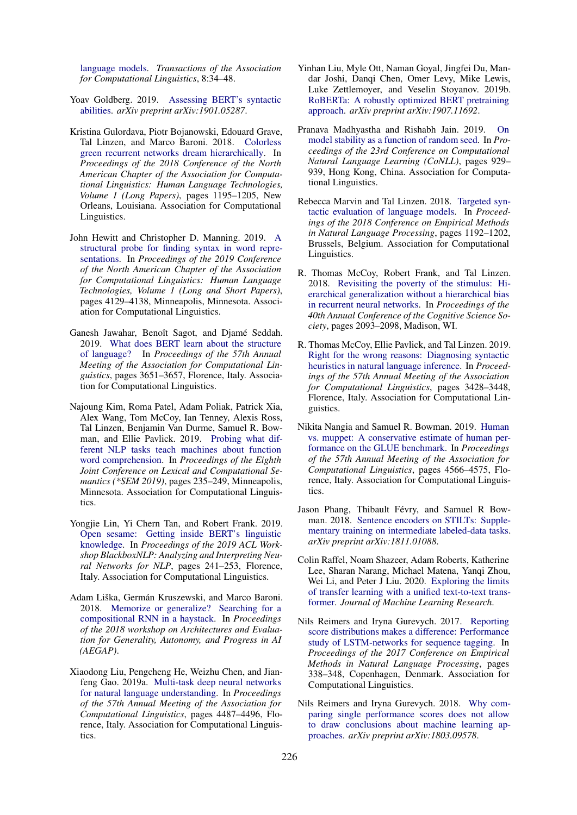[language models.](https://doi.org/10.1162/tacl_a_00298) *Transactions of the Association for Computational Linguistics*, 8:34–48.

- <span id="page-9-16"></span>Yoav Goldberg. 2019. [Assessing BERT's syntactic](https://arxiv.org/abs/1901.05287) [abilities.](https://arxiv.org/abs/1901.05287) *arXiv preprint arXiv:1901.05287*.
- <span id="page-9-4"></span>Kristina Gulordava, Piotr Bojanowski, Edouard Grave, Tal Linzen, and Marco Baroni. 2018. [Colorless](https://doi.org/10.18653/v1/N18-1108) [green recurrent networks dream hierarchically.](https://doi.org/10.18653/v1/N18-1108) In *Proceedings of the 2018 Conference of the North American Chapter of the Association for Computational Linguistics: Human Language Technologies, Volume 1 (Long Papers)*, pages 1195–1205, New Orleans, Louisiana. Association for Computational Linguistics.
- <span id="page-9-14"></span>John Hewitt and Christopher D. Manning. 2019. [A](https://doi.org/10.18653/v1/N19-1419) [structural probe for finding syntax in word repre](https://doi.org/10.18653/v1/N19-1419)[sentations.](https://doi.org/10.18653/v1/N19-1419) In *Proceedings of the 2019 Conference of the North American Chapter of the Association for Computational Linguistics: Human Language Technologies, Volume 1 (Long and Short Papers)*, pages 4129–4138, Minneapolis, Minnesota. Association for Computational Linguistics.
- <span id="page-9-15"></span>Ganesh Jawahar, Benoît Sagot, and Djamé Seddah. 2019. [What does BERT learn about the structure](https://doi.org/10.18653/v1/P19-1356) [of language?](https://doi.org/10.18653/v1/P19-1356) In *Proceedings of the 57th Annual Meeting of the Association for Computational Linguistics*, pages 3651–3657, Florence, Italy. Association for Computational Linguistics.
- <span id="page-9-17"></span>Najoung Kim, Roma Patel, Adam Poliak, Patrick Xia, Alex Wang, Tom McCoy, Ian Tenney, Alexis Ross, Tal Linzen, Benjamin Van Durme, Samuel R. Bowman, and Ellie Pavlick. 2019. [Probing what dif](https://doi.org/10.18653/v1/S19-1026)[ferent NLP tasks teach machines about function](https://doi.org/10.18653/v1/S19-1026) [word comprehension.](https://doi.org/10.18653/v1/S19-1026) In *Proceedings of the Eighth Joint Conference on Lexical and Computational Semantics (\*SEM 2019)*, pages 235–249, Minneapolis, Minnesota. Association for Computational Linguistics.
- <span id="page-9-13"></span>Yongjie Lin, Yi Chern Tan, and Robert Frank. 2019. [Open sesame: Getting inside BERT's linguistic](https://doi.org/10.18653/v1/W19-4825) [knowledge.](https://doi.org/10.18653/v1/W19-4825) In *Proceedings of the 2019 ACL Workshop BlackboxNLP: Analyzing and Interpreting Neural Networks for NLP*, pages 241–253, Florence, Italy. Association for Computational Linguistics.
- <span id="page-9-12"></span>Adam Liška, Germán Kruszewski, and Marco Baroni. 2018. [Memorize or generalize? Searching for a](http://cadia.ru.is/workshops/aegap2018/papers/AEGAP_2018_Liska_et_al.pdf) [compositional RNN in a haystack.](http://cadia.ru.is/workshops/aegap2018/papers/AEGAP_2018_Liska_et_al.pdf) In *Proceedings of the 2018 workshop on Architectures and Evaluation for Generality, Autonomy, and Progress in AI (AEGAP)*.
- <span id="page-9-1"></span>Xiaodong Liu, Pengcheng He, Weizhu Chen, and Jianfeng Gao. 2019a. [Multi-task deep neural networks](https://www.aclweb.org/anthology/P19-1441) [for natural language understanding.](https://www.aclweb.org/anthology/P19-1441) In *Proceedings of the 57th Annual Meeting of the Association for Computational Linguistics*, pages 4487–4496, Florence, Italy. Association for Computational Linguistics.
- <span id="page-9-0"></span>Yinhan Liu, Myle Ott, Naman Goyal, Jingfei Du, Mandar Joshi, Danqi Chen, Omer Levy, Mike Lewis, Luke Zettlemoyer, and Veselin Stoyanov. 2019b. [RoBERTa: A robustly optimized BERT pretraining](https://arxiv.org/abs/1907.11692) [approach.](https://arxiv.org/abs/1907.11692) *arXiv preprint arXiv:1907.11692*.
- <span id="page-9-9"></span>Pranava Madhyastha and Rishabh Jain. 2019. [On](https://doi.org/10.18653/v1/K19-1087) [model stability as a function of random seed.](https://doi.org/10.18653/v1/K19-1087) In *Proceedings of the 23rd Conference on Computational Natural Language Learning (CoNLL)*, pages 929– 939, Hong Kong, China. Association for Computational Linguistics.
- <span id="page-9-5"></span>Rebecca Marvin and Tal Linzen. 2018. [Targeted syn](https://doi.org/10.18653/v1/D18-1151)[tactic evaluation of language models.](https://doi.org/10.18653/v1/D18-1151) In *Proceedings of the 2018 Conference on Empirical Methods in Natural Language Processing*, pages 1192–1202, Brussels, Belgium. Association for Computational Linguistics.
- <span id="page-9-11"></span>R. Thomas McCoy, Robert Frank, and Tal Linzen. 2018. [Revisiting the poverty of the stimulus: Hi](https://mindmodeling.org/cogsci2018/papers/0399/0399.pdf)[erarchical generalization without a hierarchical bias](https://mindmodeling.org/cogsci2018/papers/0399/0399.pdf) [in recurrent neural networks.](https://mindmodeling.org/cogsci2018/papers/0399/0399.pdf) In *Proceedings of the 40th Annual Conference of the Cognitive Science Society*, pages 2093–2098, Madison, WI.
- <span id="page-9-6"></span>R. Thomas McCoy, Ellie Pavlick, and Tal Linzen. 2019. [Right for the wrong reasons: Diagnosing syntactic](https://www.aclweb.org/anthology/P19-1334) [heuristics in natural language inference.](https://www.aclweb.org/anthology/P19-1334) In *Proceedings of the 57th Annual Meeting of the Association for Computational Linguistics*, pages 3428–3448, Florence, Italy. Association for Computational Linguistics.
- <span id="page-9-3"></span>Nikita Nangia and Samuel R. Bowman. 2019. [Human](https://doi.org/10.18653/v1/P19-1449) [vs. muppet: A conservative estimate of human per](https://doi.org/10.18653/v1/P19-1449)[formance on the GLUE benchmark.](https://doi.org/10.18653/v1/P19-1449) In *Proceedings of the 57th Annual Meeting of the Association for Computational Linguistics*, pages 4566–4575, Florence, Italy. Association for Computational Linguistics.
- <span id="page-9-10"></span>Jason Phang, Thibault Févry, and Samuel R Bowman. 2018. [Sentence encoders on STILTs: Supple](https://arxiv.org/abs/1811.01088)[mentary training on intermediate labeled-data tasks.](https://arxiv.org/abs/1811.01088) *arXiv preprint arXiv:1811.01088*.
- <span id="page-9-2"></span>Colin Raffel, Noam Shazeer, Adam Roberts, Katherine Lee, Sharan Narang, Michael Matena, Yanqi Zhou, Wei Li, and Peter J Liu. 2020. [Exploring the limits](https://jmlr.org/papers/volume21/20-074/20-074.pdf) [of transfer learning with a unified text-to-text trans](https://jmlr.org/papers/volume21/20-074/20-074.pdf)[former.](https://jmlr.org/papers/volume21/20-074/20-074.pdf) *Journal of Machine Learning Research*.
- <span id="page-9-7"></span>Nils Reimers and Iryna Gurevych. 2017. [Reporting](https://doi.org/10.18653/v1/D17-1035) [score distributions makes a difference: Performance](https://doi.org/10.18653/v1/D17-1035) [study of LSTM-networks for sequence tagging.](https://doi.org/10.18653/v1/D17-1035) In *Proceedings of the 2017 Conference on Empirical Methods in Natural Language Processing*, pages 338–348, Copenhagen, Denmark. Association for Computational Linguistics.
- <span id="page-9-8"></span>Nils Reimers and Iryna Gurevych. 2018. [Why com](https://arxiv.org/abs/1803.09578)[paring single performance scores does not allow](https://arxiv.org/abs/1803.09578) [to draw conclusions about machine learning ap](https://arxiv.org/abs/1803.09578)[proaches.](https://arxiv.org/abs/1803.09578) *arXiv preprint arXiv:1803.09578*.